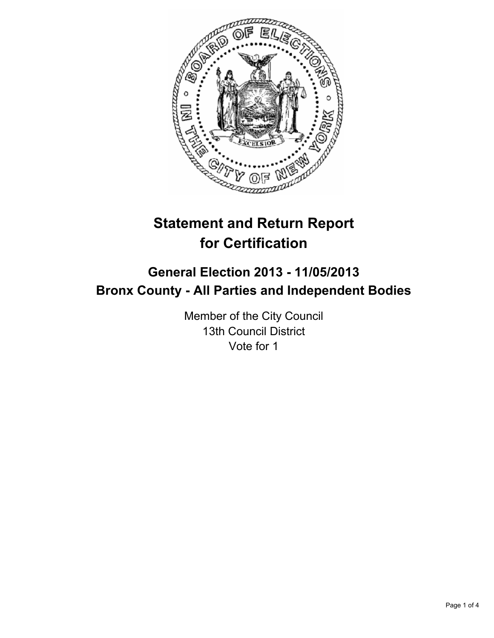

# **Statement and Return Report for Certification**

## **General Election 2013 - 11/05/2013 Bronx County - All Parties and Independent Bodies**

Member of the City Council 13th Council District Vote for 1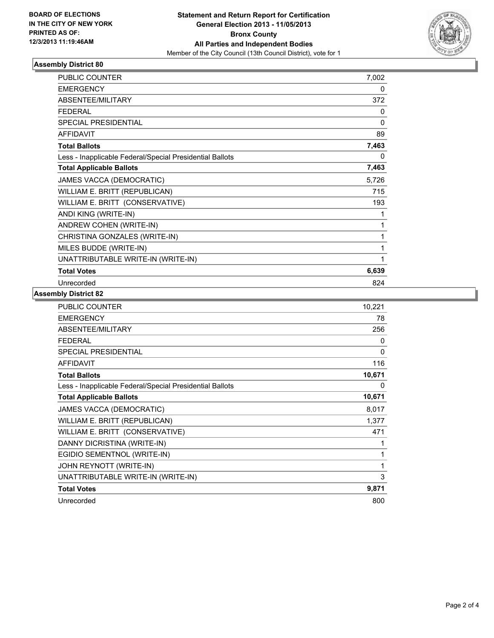

### **Assembly District 80**

| PUBLIC COUNTER                                           | 7,002 |
|----------------------------------------------------------|-------|
| <b>EMERGENCY</b>                                         | 0     |
| <b>ABSENTEE/MILITARY</b>                                 | 372   |
| <b>FEDERAL</b>                                           | 0     |
| <b>SPECIAL PRESIDENTIAL</b>                              | 0     |
| <b>AFFIDAVIT</b>                                         | 89    |
| <b>Total Ballots</b>                                     | 7,463 |
| Less - Inapplicable Federal/Special Presidential Ballots | 0     |
| <b>Total Applicable Ballots</b>                          | 7,463 |
| JAMES VACCA (DEMOCRATIC)                                 | 5,726 |
| WILLIAM E. BRITT (REPUBLICAN)                            | 715   |
| WILLIAM E. BRITT (CONSERVATIVE)                          | 193   |
| ANDI KING (WRITE-IN)                                     | 1     |
| ANDREW COHEN (WRITE-IN)                                  | 1     |
| CHRISTINA GONZALES (WRITE-IN)                            | 1     |
| MILES BUDDE (WRITE-IN)                                   | 1     |
| UNATTRIBUTABLE WRITE-IN (WRITE-IN)                       | 1     |
| <b>Total Votes</b>                                       | 6,639 |
| Unrecorded                                               | 824   |

#### **Assembly District 82**

| PUBLIC COUNTER                                           | 10,221       |
|----------------------------------------------------------|--------------|
| <b>EMERGENCY</b>                                         | 78           |
| ABSENTEE/MILITARY                                        | 256          |
| <b>FEDERAL</b>                                           | $\mathbf{0}$ |
| <b>SPECIAL PRESIDENTIAL</b>                              | 0            |
| <b>AFFIDAVIT</b>                                         | 116          |
| <b>Total Ballots</b>                                     | 10,671       |
| Less - Inapplicable Federal/Special Presidential Ballots | 0            |
| <b>Total Applicable Ballots</b>                          | 10,671       |
| JAMES VACCA (DEMOCRATIC)                                 | 8,017        |
| WILLIAM E. BRITT (REPUBLICAN)                            | 1,377        |
| WILLIAM E. BRITT (CONSERVATIVE)                          | 471          |
| DANNY DICRISTINA (WRITE-IN)                              | 1            |
| EGIDIO SEMENTNOL (WRITE-IN)                              | 1            |
| JOHN REYNOTT (WRITE-IN)                                  | 1            |
| UNATTRIBUTABLE WRITE-IN (WRITE-IN)                       | 3            |
| <b>Total Votes</b>                                       | 9,871        |
| Unrecorded                                               | 800          |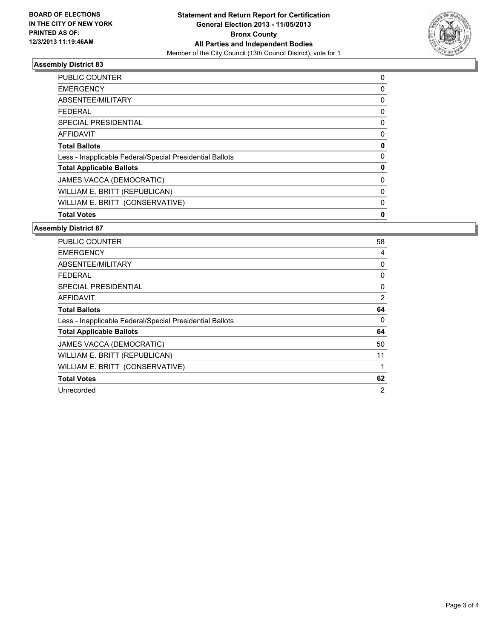

#### **Assembly District 83**

| <b>PUBLIC COUNTER</b>                                    | 0 |
|----------------------------------------------------------|---|
| <b>EMERGENCY</b>                                         | 0 |
| ABSENTEE/MILITARY                                        | 0 |
| <b>FEDERAL</b>                                           | 0 |
| SPECIAL PRESIDENTIAL                                     | 0 |
| AFFIDAVIT                                                | 0 |
| <b>Total Ballots</b>                                     | 0 |
| Less - Inapplicable Federal/Special Presidential Ballots | 0 |
| <b>Total Applicable Ballots</b>                          | 0 |
| JAMES VACCA (DEMOCRATIC)                                 | 0 |
| WILLIAM E. BRITT (REPUBLICAN)                            | 0 |
| WILLIAM E. BRITT (CONSERVATIVE)                          | 0 |
| <b>Total Votes</b>                                       | 0 |

#### **Assembly District 87**

| PUBLIC COUNTER                                           | 58 |
|----------------------------------------------------------|----|
| <b>EMERGENCY</b>                                         | 4  |
| ABSENTEE/MILITARY                                        | 0  |
| <b>FEDERAL</b>                                           | 0  |
| <b>SPECIAL PRESIDENTIAL</b>                              | 0  |
| AFFIDAVIT                                                | 2  |
| <b>Total Ballots</b>                                     | 64 |
| Less - Inapplicable Federal/Special Presidential Ballots | 0  |
| <b>Total Applicable Ballots</b>                          | 64 |
| <b>JAMES VACCA (DEMOCRATIC)</b>                          | 50 |
| WILLIAM E. BRITT (REPUBLICAN)                            | 11 |
| WILLIAM E. BRITT (CONSERVATIVE)                          | 1  |
| <b>Total Votes</b>                                       | 62 |
| Unrecorded                                               | 2  |